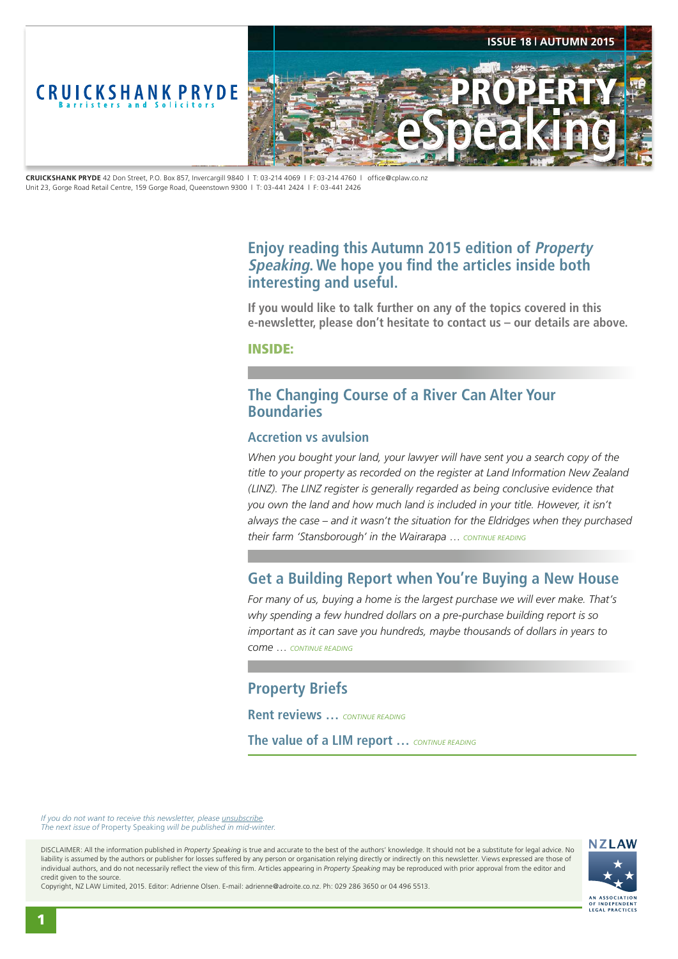<span id="page-0-0"></span>

**CRUICKSHANK PRYDE** 42 Don Street, P.O. Box 857, Invercargill 9840 | T: 03-214 4069 | F: 03-214 4760 | office@cplaw.co.nz Unit 23, Gorge Road Retail Centre, 159 Gorge Road, Queenstown 9300 | T: 03-441 2424 | F: 03-441 2426

# **Enjoy reading this Autumn 2015 edition of Property Speaking. We hope you find the articles inside both interesting and useful.**

**If you would like to talk further on any of the topics covered in this e-newsletter, please don't hesitate to contact us – our details are above.**

INSIDE:

## **The Changing Course of a River Can Alter Your Boundaries**

### **Accretion vs avulsion**

*When you bought your land, your lawyer will have sent you a search copy of the title to your property as recorded on the register at Land Information New Zealand (LINZ). The LINZ register is generally regarded as being conclusive evidence that you own the land and how much land is included in your title. However, it isn't always the case – and it wasn't the situation for the Eldridges when they purchased their farm 'Stansborough' in the Wairarapa* … *[CONTINUE READING](#page-1-0)*

# **Get a Building Report when You're Buying a New House**

*For many of us, buying a home is the largest purchase we will ever make. That's why spending a few hundred dollars on a pre-purchase building report is so important as it can save you hundreds, maybe thousands of dollars in years to come* … *[CONTINUE READING](#page-2-0)*

# **Property Briefs**

**Rent reviews …** *[CONTINUE READING](#page-3-0)*

**The value of a LIM report …** *[CONTINUE READING](#page-3-0)*

*If you do not want to receive this newsletter, please <i>unsubscribe*. *The next issue of* Property Speaking *will be published in mid-winter.* 

DISCLAIMER: All the information published in *Property Speaking* is true and accurate to the best of the authors' knowledge. It should not be a substitute for legal advice. No liability is assumed by the authors or publisher for losses suffered by any person or organisation relying directly or indirectly on this newsletter. Views expressed are those of individual authors, and do not necessarily reflect the view of this firm. Articles appearing in *Property Speaking* may be reproduced with prior approval from the editor and credit given to the source.



Copyright, NZ LAW Limited, 2015. Editor: Adrienne Olsen. [E-mail: adrienne@adroite.co.nz](mailto:adrienne@adroite.co.nz). Ph: 029 286 3650 or 04 496 5513.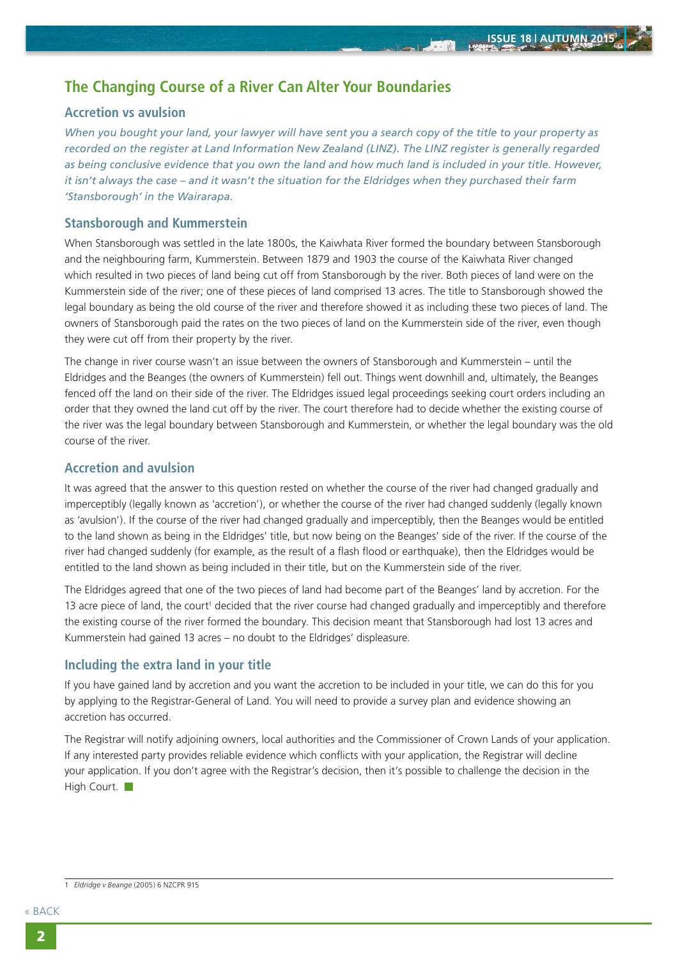at m

# <span id="page-1-0"></span>**The Changing Course of a River Can Alter Your Boundaries**

### **Accretion vs avulsion**

*When you bought your land, your lawyer will have sent you a search copy of the title to your property as recorded on the register at Land Information New Zealand (LINZ). The LINZ register is generally regarded as being conclusive evidence that you own the land and how much land is included in your title. However, it isn't always the case – and it wasn't the situation for the Eldridges when they purchased their farm 'Stansborough' in the Wairarapa.*

#### **Stansborough and Kummerstein**

When Stansborough was settled in the late 1800s, the Kaiwhata River formed the boundary between Stansborough and the neighbouring farm, Kummerstein. Between 1879 and 1903 the course of the Kaiwhata River changed which resulted in two pieces of land being cut off from Stansborough by the river. Both pieces of land were on the Kummerstein side of the river; one of these pieces of land comprised 13 acres. The title to Stansborough showed the legal boundary as being the old course of the river and therefore showed it as including these two pieces of land. The owners of Stansborough paid the rates on the two pieces of land on the Kummerstein side of the river, even though they were cut off from their property by the river.

The change in river course wasn't an issue between the owners of Stansborough and Kummerstein – until the Eldridges and the Beanges (the owners of Kummerstein) fell out. Things went downhill and, ultimately, the Beanges fenced off the land on their side of the river. The Eldridges issued legal proceedings seeking court orders including an order that they owned the land cut off by the river. The court therefore had to decide whether the existing course of the river was the legal boundary between Stansborough and Kummerstein, or whether the legal boundary was the old course of the river.

### **Accretion and avulsion**

It was agreed that the answer to this question rested on whether the course of the river had changed gradually and imperceptibly (legally known as 'accretion'), or whether the course of the river had changed suddenly (legally known as 'avulsion'). If the course of the river had changed gradually and imperceptibly, then the Beanges would be entitled to the land shown as being in the Eldridges' title, but now being on the Beanges' side of the river. If the course of the river had changed suddenly (for example, as the result of a flash flood or earthquake), then the Eldridges would be entitled to the land shown as being included in their title, but on the Kummerstein side of the river.

The Eldridges agreed that one of the two pieces of land had become part of the Beanges' land by accretion. For the 13 acre piece of land, the court<sup>1</sup> decided that the river course had changed gradually and imperceptibly and therefore the existing course of the river formed the boundary. This decision meant that Stansborough had lost 13 acres and Kummerstein had gained 13 acres – no doubt to the Eldridges' displeasure.

#### **Including the extra land in your title**

If you have gained land by accretion and you want the accretion to be included in your title, we can do this for you by applying to the Registrar-General of Land. You will need to provide a survey plan and evidence showing an accretion has occurred.

The Registrar will notify adjoining owners, local authorities and the Commissioner of Crown Lands of your application. If any interested party provides reliable evidence which conflicts with your application, the Registrar will decline your application. If you don't agree with the Registrar's decision, then it's possible to challenge the decision in the High Court.

<sup>1</sup> *Eldridge v Beange* (2005) 6 NZCPR 915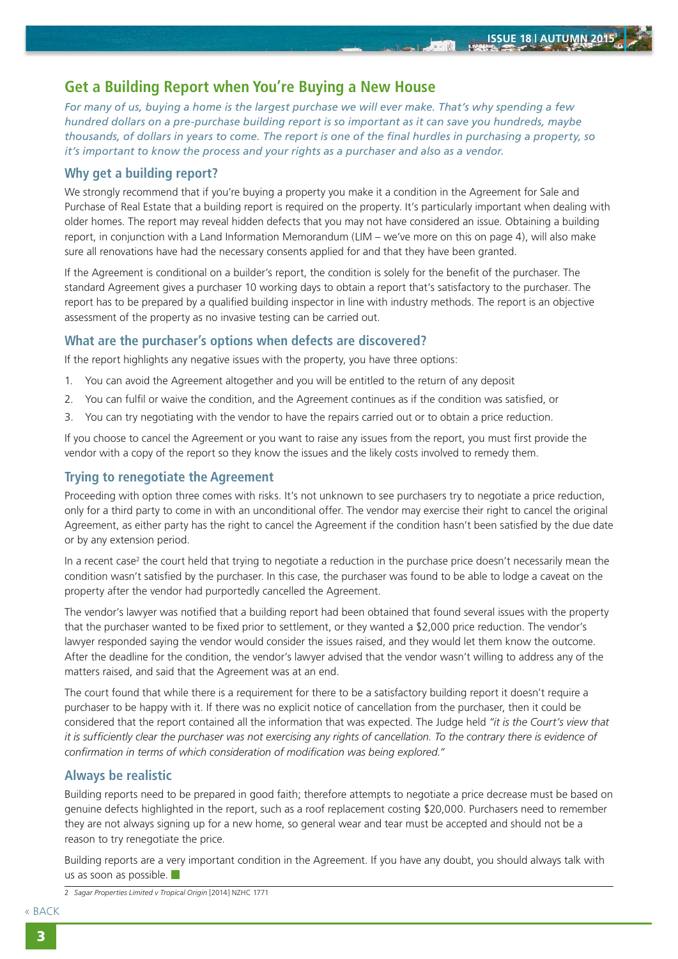æfin

## <span id="page-2-0"></span>**Get a Building Report when You're Buying a New House**

*For many of us, buying a home is the largest purchase we will ever make. That's why spending a few hundred dollars on a pre-purchase building report is so important as it can save you hundreds, maybe thousands, of dollars in years to come. The report is one of the final hurdles in purchasing a property, so it's important to know the process and your rights as a purchaser and also as a vendor.*

### **Why get a building report?**

We strongly recommend that if you're buying a property you make it a condition in the Agreement for Sale and Purchase of Real Estate that a building report is required on the property. It's particularly important when dealing with older homes. The report may reveal hidden defects that you may not have considered an issue. Obtaining a building report, in conjunction with a Land Information Memorandum (LIM – we've more on this on page 4), will also make sure all renovations have had the necessary consents applied for and that they have been granted.

If the Agreement is conditional on a builder's report, the condition is solely for the benefit of the purchaser. The standard Agreement gives a purchaser 10 working days to obtain a report that's satisfactory to the purchaser. The report has to be prepared by a qualified building inspector in line with industry methods. The report is an objective assessment of the property as no invasive testing can be carried out.

#### **What are the purchaser's options when defects are discovered?**

If the report highlights any negative issues with the property, you have three options:

- 1. You can avoid the Agreement altogether and you will be entitled to the return of any deposit
- 2. You can fulfil or waive the condition, and the Agreement continues as if the condition was satisfied, or
- 3. You can try negotiating with the vendor to have the repairs carried out or to obtain a price reduction.

If you choose to cancel the Agreement or you want to raise any issues from the report, you must first provide the vendor with a copy of the report so they know the issues and the likely costs involved to remedy them.

#### **Trying to renegotiate the Agreement**

Proceeding with option three comes with risks. It's not unknown to see purchasers try to negotiate a price reduction, only for a third party to come in with an unconditional offer. The vendor may exercise their right to cancel the original Agreement, as either party has the right to cancel the Agreement if the condition hasn't been satisfied by the due date or by any extension period.

In a recent case<sup>2</sup> the court held that trying to negotiate a reduction in the purchase price doesn't necessarily mean the condition wasn't satisfied by the purchaser. In this case, the purchaser was found to be able to lodge a caveat on the property after the vendor had purportedly cancelled the Agreement.

The vendor's lawyer was notified that a building report had been obtained that found several issues with the property that the purchaser wanted to be fixed prior to settlement, or they wanted a \$2,000 price reduction. The vendor's lawyer responded saying the vendor would consider the issues raised, and they would let them know the outcome. After the deadline for the condition, the vendor's lawyer advised that the vendor wasn't willing to address any of the matters raised, and said that the Agreement was at an end.

The court found that while there is a requirement for there to be a satisfactory building report it doesn't require a purchaser to be happy with it. If there was no explicit notice of cancellation from the purchaser, then it could be considered that the report contained all the information that was expected. The Judge held *"it is the Court's view that it is sufficiently clear the purchaser was not exercising any rights of cancellation. To the contrary there is evidence of confirmation in terms of which consideration of modification was being explored."*

#### **Always be realistic**

Building reports need to be prepared in good faith; therefore attempts to negotiate a price decrease must be based on genuine defects highlighted in the report, such as a roof replacement costing \$20,000. Purchasers need to remember they are not always signing up for a new home, so general wear and tear must be accepted and should not be a reason to try renegotiate the price.

Building reports are a very important condition in the Agreement. If you have any doubt, you should always talk with us as soon as possible.  $\Box$ 

2 *Sagar Properties Limited v Tropical Origin* [2014] NZHC 1771

[« BACK](#page-0-0)